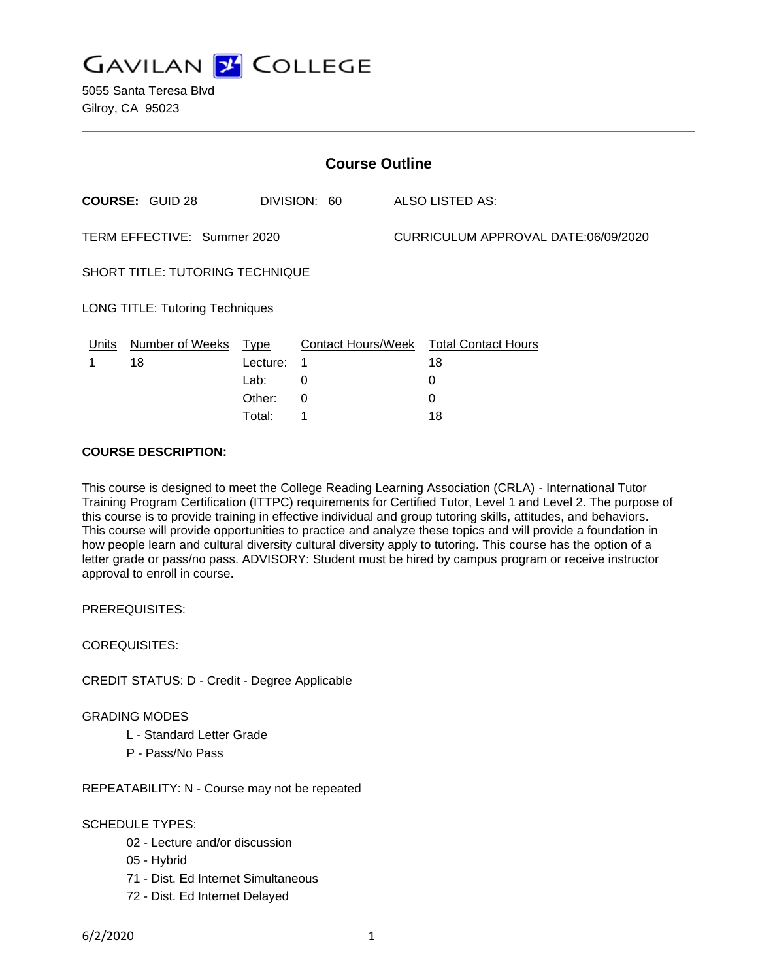

5055 Santa Teresa Blvd Gilroy, CA 95023

| <b>Course Outline</b>                  |                        |          |              |  |                                        |  |
|----------------------------------------|------------------------|----------|--------------|--|----------------------------------------|--|
|                                        | <b>COURSE: GUID 28</b> |          | DIVISION: 60 |  | ALSO LISTED AS:                        |  |
| TERM EFFECTIVE: Summer 2020            |                        |          |              |  | CURRICULUM APPROVAL DATE:06/09/2020    |  |
| SHORT TITLE: TUTORING TECHNIQUE        |                        |          |              |  |                                        |  |
| <b>LONG TITLE: Tutoring Techniques</b> |                        |          |              |  |                                        |  |
| Units                                  | Number of Weeks        | Type     |              |  | Contact Hours/Week Total Contact Hours |  |
|                                        | 18                     | Lecture: | 1            |  | 18                                     |  |
|                                        |                        | Lab:     | 0            |  | 0                                      |  |
|                                        |                        | Other:   | $\Omega$     |  | 0                                      |  |
|                                        |                        | Total:   | 1            |  | 18                                     |  |

#### **COURSE DESCRIPTION:**

This course is designed to meet the College Reading Learning Association (CRLA) - International Tutor Training Program Certification (ITTPC) requirements for Certified Tutor, Level 1 and Level 2. The purpose of this course is to provide training in effective individual and group tutoring skills, attitudes, and behaviors. This course will provide opportunities to practice and analyze these topics and will provide a foundation in how people learn and cultural diversity cultural diversity apply to tutoring. This course has the option of a letter grade or pass/no pass. ADVISORY: Student must be hired by campus program or receive instructor approval to enroll in course.

PREREQUISITES:

COREQUISITES:

CREDIT STATUS: D - Credit - Degree Applicable

GRADING MODES

- L Standard Letter Grade
- P Pass/No Pass

REPEATABILITY: N - Course may not be repeated

## SCHEDULE TYPES:

- 02 Lecture and/or discussion
- 05 Hybrid
- 71 Dist. Ed Internet Simultaneous
- 72 Dist. Ed Internet Delayed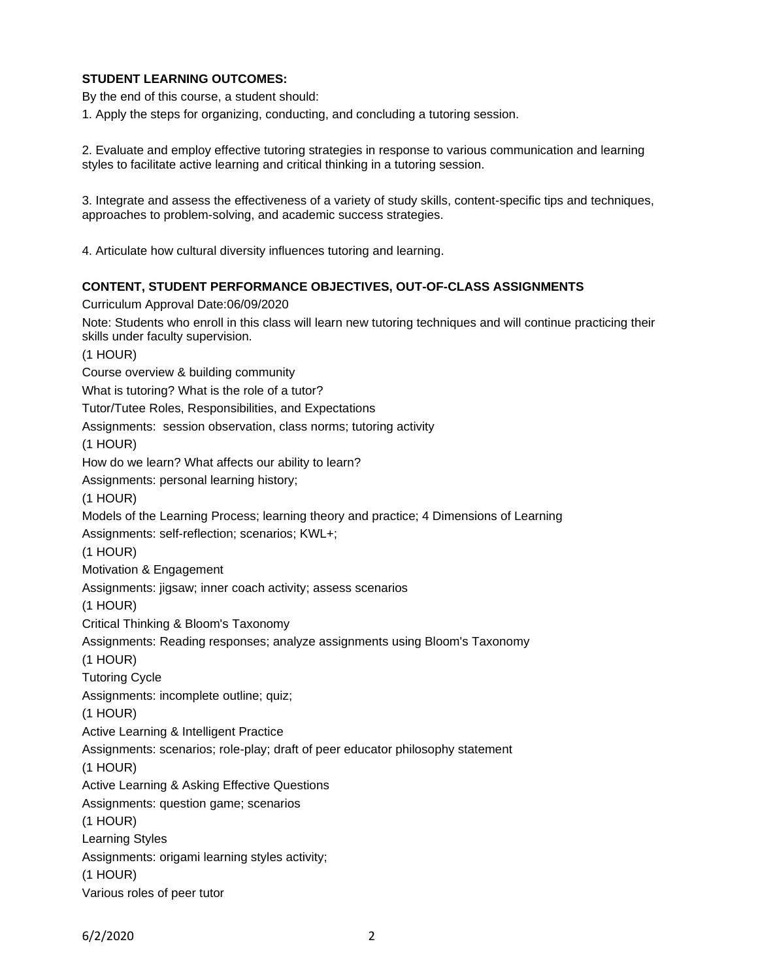# **STUDENT LEARNING OUTCOMES:**

By the end of this course, a student should:

1. Apply the steps for organizing, conducting, and concluding a tutoring session.

2. Evaluate and employ effective tutoring strategies in response to various communication and learning styles to facilitate active learning and critical thinking in a tutoring session.

3. Integrate and assess the effectiveness of a variety of study skills, content-specific tips and techniques, approaches to problem-solving, and academic success strategies.

4. Articulate how cultural diversity influences tutoring and learning.

#### **CONTENT, STUDENT PERFORMANCE OBJECTIVES, OUT-OF-CLASS ASSIGNMENTS**

Curriculum Approval Date:06/09/2020 Note: Students who enroll in this class will learn new tutoring techniques and will continue practicing their skills under faculty supervision. (1 HOUR) Course overview & building community What is tutoring? What is the role of a tutor? Tutor/Tutee Roles, Responsibilities, and Expectations Assignments: session observation, class norms; tutoring activity (1 HOUR) How do we learn? What affects our ability to learn? Assignments: personal learning history; (1 HOUR) Models of the Learning Process; learning theory and practice; 4 Dimensions of Learning Assignments: self-reflection; scenarios; KWL+; (1 HOUR) Motivation & Engagement Assignments: jigsaw; inner coach activity; assess scenarios (1 HOUR) Critical Thinking & Bloom's Taxonomy Assignments: Reading responses; analyze assignments using Bloom's Taxonomy (1 HOUR) Tutoring Cycle Assignments: incomplete outline; quiz; (1 HOUR) Active Learning & Intelligent Practice Assignments: scenarios; role-play; draft of peer educator philosophy statement (1 HOUR) Active Learning & Asking Effective Questions Assignments: question game; scenarios (1 HOUR) Learning Styles Assignments: origami learning styles activity; (1 HOUR) Various roles of peer tutor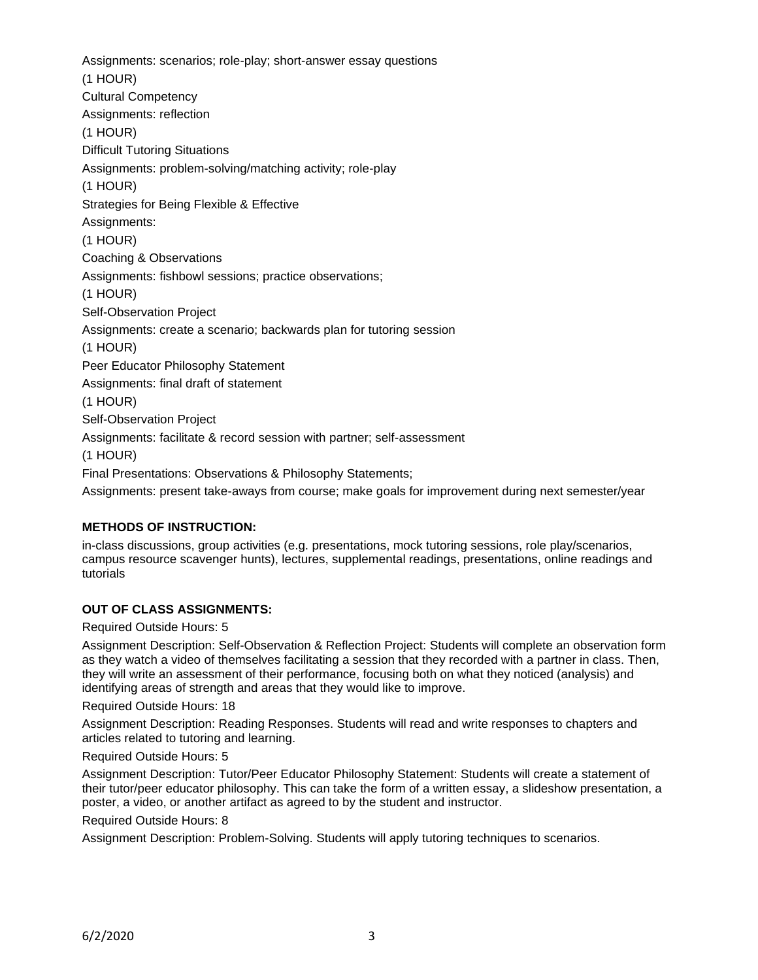Assignments: scenarios; role-play; short-answer essay questions (1 HOUR) Cultural Competency Assignments: reflection (1 HOUR) Difficult Tutoring Situations Assignments: problem-solving/matching activity; role-play (1 HOUR) Strategies for Being Flexible & Effective Assignments: (1 HOUR) Coaching & Observations Assignments: fishbowl sessions; practice observations; (1 HOUR) Self-Observation Project Assignments: create a scenario; backwards plan for tutoring session (1 HOUR) Peer Educator Philosophy Statement Assignments: final draft of statement (1 HOUR) Self-Observation Project Assignments: facilitate & record session with partner; self-assessment (1 HOUR) Final Presentations: Observations & Philosophy Statements; Assignments: present take-aways from course; make goals for improvement during next semester/year

# **METHODS OF INSTRUCTION:**

in-class discussions, group activities (e.g. presentations, mock tutoring sessions, role play/scenarios, campus resource scavenger hunts), lectures, supplemental readings, presentations, online readings and tutorials

### **OUT OF CLASS ASSIGNMENTS:**

Required Outside Hours: 5

Assignment Description: Self-Observation & Reflection Project: Students will complete an observation form as they watch a video of themselves facilitating a session that they recorded with a partner in class. Then, they will write an assessment of their performance, focusing both on what they noticed (analysis) and identifying areas of strength and areas that they would like to improve.

Required Outside Hours: 18

Assignment Description: Reading Responses. Students will read and write responses to chapters and articles related to tutoring and learning.

Required Outside Hours: 5

Assignment Description: Tutor/Peer Educator Philosophy Statement: Students will create a statement of their tutor/peer educator philosophy. This can take the form of a written essay, a slideshow presentation, a poster, a video, or another artifact as agreed to by the student and instructor.

Required Outside Hours: 8

Assignment Description: Problem-Solving. Students will apply tutoring techniques to scenarios.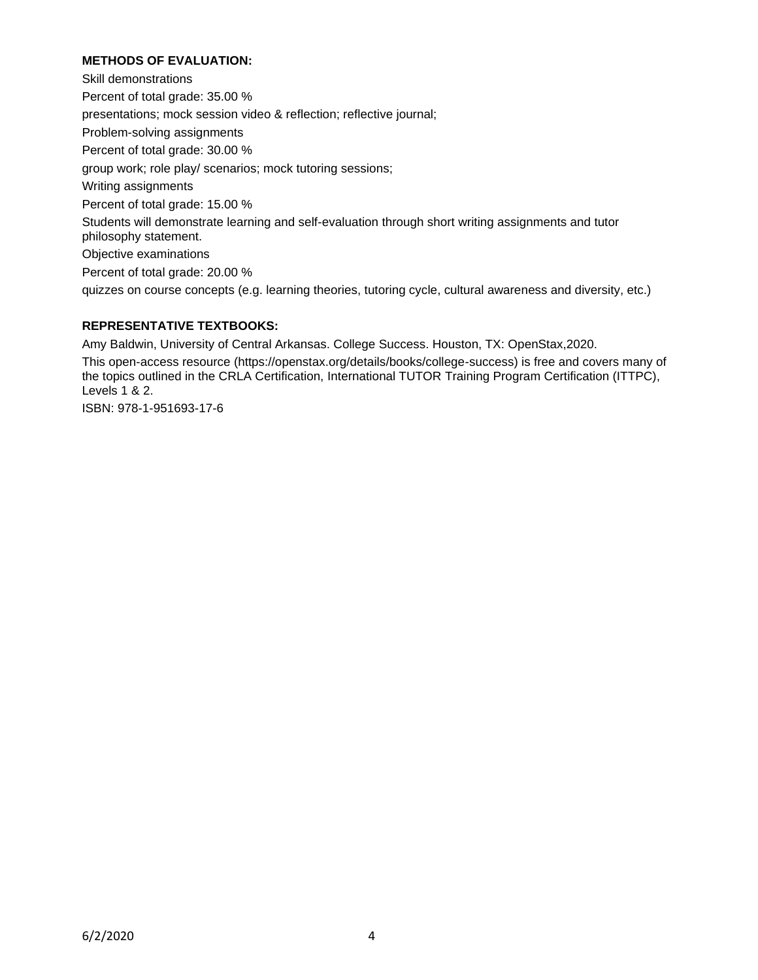# **METHODS OF EVALUATION:**

Skill demonstrations Percent of total grade: 35.00 % presentations; mock session video & reflection; reflective journal; Problem-solving assignments Percent of total grade: 30.00 % group work; role play/ scenarios; mock tutoring sessions; Writing assignments Percent of total grade: 15.00 % Students will demonstrate learning and self-evaluation through short writing assignments and tutor philosophy statement. Objective examinations Percent of total grade: 20.00 % quizzes on course concepts (e.g. learning theories, tutoring cycle, cultural awareness and diversity, etc.)

# **REPRESENTATIVE TEXTBOOKS:**

Amy Baldwin, University of Central Arkansas. College Success. Houston, TX: OpenStax,2020.

This open-access resource (https://openstax.org/details/books/college-success) is free and covers many of the topics outlined in the CRLA Certification, International TUTOR Training Program Certification (ITTPC), Levels 1 & 2.

ISBN: 978-1-951693-17-6